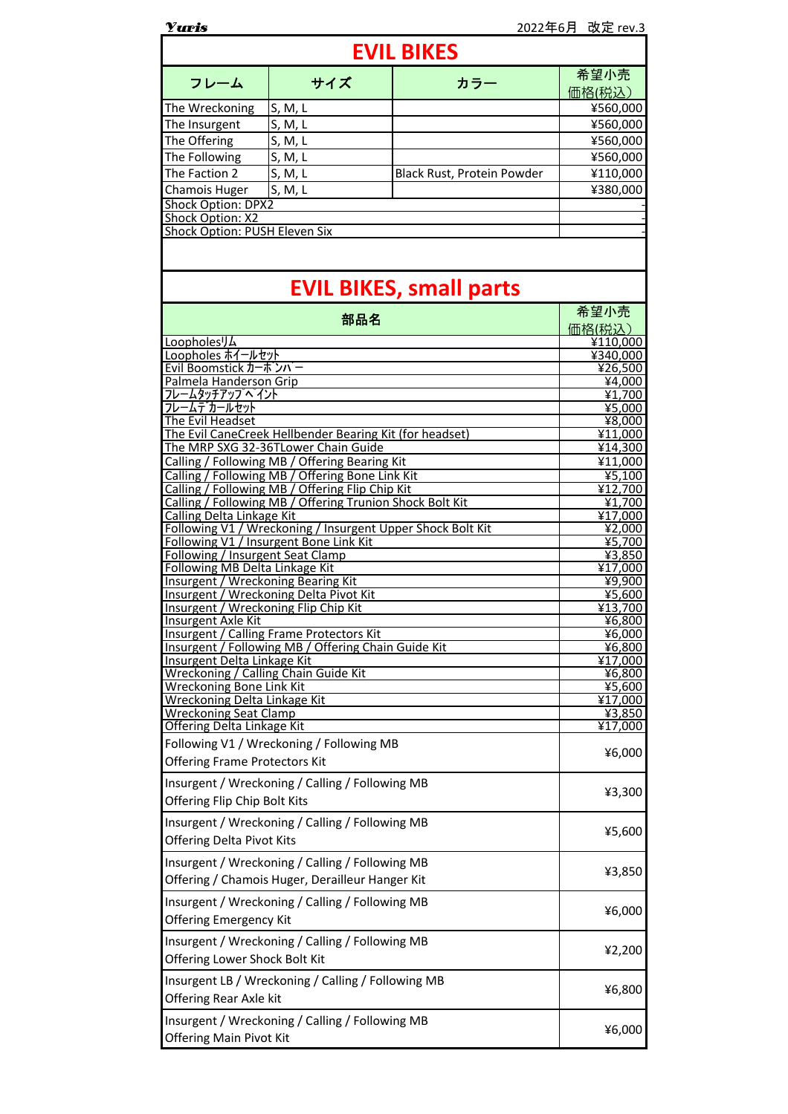| <b>Yuris</b>                                                                                       |                                                                                                    |                                | 2022年6月 改定 rev.3  |  |  |
|----------------------------------------------------------------------------------------------------|----------------------------------------------------------------------------------------------------|--------------------------------|-------------------|--|--|
| <b>EVIL BIKES</b>                                                                                  |                                                                                                    |                                |                   |  |  |
| フレーム                                                                                               | サイズ                                                                                                | カラー                            | 希望小売<br>価格(税込)    |  |  |
| The Wreckoning                                                                                     | S, M, L                                                                                            |                                | ¥560,000          |  |  |
| The Insurgent                                                                                      | S, M, L                                                                                            |                                | ¥560,000          |  |  |
| The Offering                                                                                       | S, M, L                                                                                            |                                | ¥560,000          |  |  |
| The Following                                                                                      | S, M, L                                                                                            |                                | ¥560,000          |  |  |
| The Faction 2                                                                                      | S, M, L                                                                                            | Black Rust, Protein Powder     | ¥110,000          |  |  |
| Chamois Huger                                                                                      | S, M, L                                                                                            |                                | ¥380,000          |  |  |
| <b>Shock Option: DPX2</b>                                                                          |                                                                                                    |                                |                   |  |  |
| Shock Option: X2<br>Shock Option: PUSH Eleven Six                                                  |                                                                                                    |                                |                   |  |  |
|                                                                                                    |                                                                                                    |                                |                   |  |  |
|                                                                                                    |                                                                                                    | <b>EVIL BIKES, small parts</b> |                   |  |  |
| 部品名                                                                                                |                                                                                                    |                                | 希望小売<br>価格(税込)    |  |  |
| Loopholes <sup>1</sup> J4                                                                          |                                                                                                    |                                | ¥110,000          |  |  |
| Loopholes ホイールセット<br>Evil Boomstick カーボンバー                                                         | ¥340,000<br>¥26,500                                                                                |                                |                   |  |  |
| Palmela Handerson Grip                                                                             |                                                                                                    |                                | ¥4,000            |  |  |
| フレームタッチアップヘイント                                                                                     | $\overline{41,700}$                                                                                |                                |                   |  |  |
| フレームデカールセット<br>The Evil Headset                                                                    | ¥5,000<br>¥8,000                                                                                   |                                |                   |  |  |
| The Evil CaneCreek Hellbender Bearing Kit (for headset)                                            | ¥11,000                                                                                            |                                |                   |  |  |
| The MRP SXG 32-36TLower Chain Guide                                                                | 414,300                                                                                            |                                |                   |  |  |
| Calling / Following MB / Offering Bearing Kit                                                      |                                                                                                    |                                | ¥11,000           |  |  |
|                                                                                                    | Calling / Following MB / Offering Bone Link Kit<br>Calling / Following MB / Offering Flip Chip Kit |                                | ¥5,100<br>¥12,700 |  |  |
|                                                                                                    | Calling / Following MB / Offering Trunion Shock Bolt Kit                                           |                                | ¥1,700            |  |  |
| <b>Calling Delta Linkage Kit</b>                                                                   |                                                                                                    |                                | ¥17,000           |  |  |
| Following V1 / Wreckoning / Insurgent Upper Shock Bolt Kit                                         | ¥2,000                                                                                             |                                |                   |  |  |
| Following V1 / Insurgent Bone Link Kit<br>Following / Insurgent Seat Clamp                         |                                                                                                    |                                | ¥5,700<br>¥3,850  |  |  |
| Following MB Delta Linkage Kit                                                                     | ¥17,000                                                                                            |                                |                   |  |  |
| Insurgent / Wreckoning Bearing Kit                                                                 | ¥9,900                                                                                             |                                |                   |  |  |
| Insurgent / Wreckoning Delta Pivot Kit<br>Insurgent / Wreckoning Flip Chip Kit                     | ¥5,600<br>$\sqrt{413,700}$                                                                         |                                |                   |  |  |
| <u>Insurgent Axle Kit</u>                                                                          | <u>¥6,800</u>                                                                                      |                                |                   |  |  |
| <b>Insurgent / Calling Frame Protectors Kit</b>                                                    | ¥6,000                                                                                             |                                |                   |  |  |
| Insurgent / Following MB / Offering Chain Guide Kit<br>Insurgent Delta Linkage Kit                 | ¥6,800<br><u>¥17,000</u>                                                                           |                                |                   |  |  |
| Wreckoning / Calling Chain Guide Kit                                                               | ¥6,800                                                                                             |                                |                   |  |  |
| <b>Wreckoning Bone Link Kit</b>                                                                    | ¥5,600                                                                                             |                                |                   |  |  |
| <b>Wreckoning Delta Linkage Kit</b><br><b>Wreckoning Seat Clamp</b>                                | <u>¥17,000</u>                                                                                     |                                |                   |  |  |
| Offering Delta Linkage Kit                                                                         | ¥3,850<br>¥17,000                                                                                  |                                |                   |  |  |
| Following V1 / Wreckoning / Following MB                                                           |                                                                                                    |                                |                   |  |  |
| <b>Offering Frame Protectors Kit</b>                                                               | ¥6,000                                                                                             |                                |                   |  |  |
| Insurgent / Wreckoning / Calling / Following MB<br>Offering Flip Chip Bolt Kits                    | ¥3,300                                                                                             |                                |                   |  |  |
| Insurgent / Wreckoning / Calling / Following MB<br><b>Offering Delta Pivot Kits</b>                | ¥5,600                                                                                             |                                |                   |  |  |
| Insurgent / Wreckoning / Calling / Following MB<br>Offering / Chamois Huger, Derailleur Hanger Kit | ¥3,850                                                                                             |                                |                   |  |  |
| Insurgent / Wreckoning / Calling / Following MB<br>Offering Emergency Kit                          | ¥6,000                                                                                             |                                |                   |  |  |
| Insurgent / Wreckoning / Calling / Following MB<br>Offering Lower Shock Bolt Kit                   | ¥2,200                                                                                             |                                |                   |  |  |
| Insurgent LB / Wreckoning / Calling / Following MB<br>Offering Rear Axle kit                       | ¥6,800                                                                                             |                                |                   |  |  |
| Insurgent / Wreckoning / Calling / Following MB<br><b>Offering Main Pivot Kit</b>                  | ¥6,000                                                                                             |                                |                   |  |  |